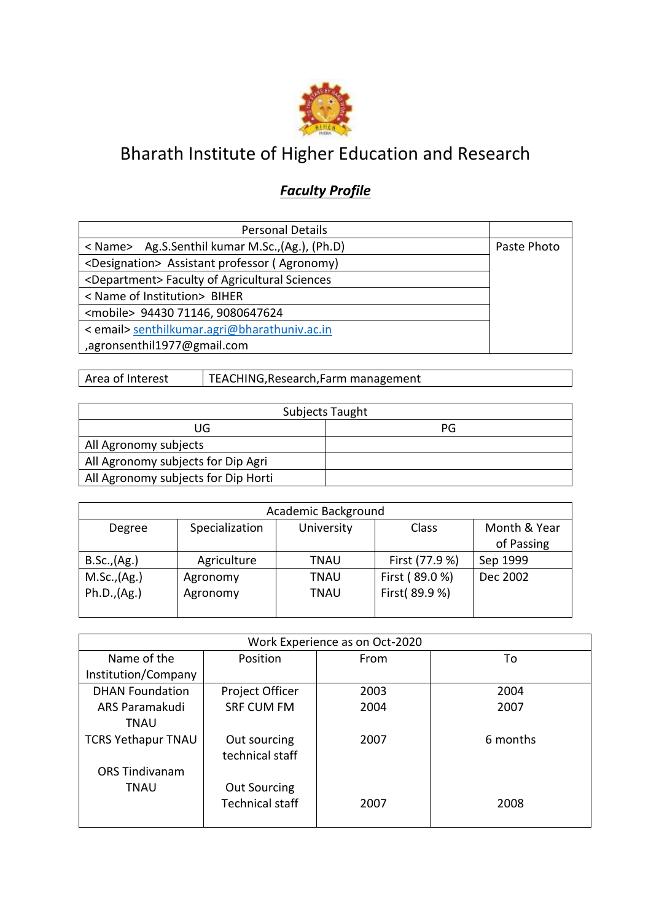

## Bharath Institute of Higher Education and Research

## *Faculty Profile*

| <b>Personal Details</b>                                    |             |
|------------------------------------------------------------|-------------|
| < Name> Ag.S.Senthil kumar M.Sc., (Ag.), (Ph.D)            | Paste Photo |
| <designation> Assistant professor (Agronomy)</designation> |             |
| <department> Faculty of Agricultural Sciences</department> |             |
| < Name of Institution> BIHER                               |             |
| <mobile> 94430 71146, 9080647624</mobile>                  |             |
| < email> senthilkumar.agri@bharathuniv.ac.in               |             |
| ,agronsenthil1977@gmail.com                                |             |

Area of Interest | TEACHING, Research, Farm management

|                                     | Subjects Taught |
|-------------------------------------|-----------------|
| UG.                                 | PG              |
| All Agronomy subjects               |                 |
| All Agronomy subjects for Dip Agri  |                 |
| All Agronomy subjects for Dip Horti |                 |

| Academic Background |                |             |                |              |
|---------------------|----------------|-------------|----------------|--------------|
| Degree              | Specialization | University  | Class          | Month & Year |
|                     |                |             |                | of Passing   |
| B.Sc., (Ag.)        | Agriculture    | <b>TNAU</b> | First (77.9 %) | Sep 1999     |
| M.Sc., (Ag.)        | Agronomy       | <b>TNAU</b> | First (89.0 %) | Dec 2002     |
| Ph.D., (Ag.)        | Agronomy       | <b>TNAU</b> | First(89.9%)   |              |
|                     |                |             |                |              |

|                           |                        | Work Experience as on Oct-2020 |          |
|---------------------------|------------------------|--------------------------------|----------|
| Name of the               | Position               | From                           | To       |
| Institution/Company       |                        |                                |          |
| <b>DHAN Foundation</b>    | Project Officer        | 2003                           | 2004     |
| ARS Paramakudi            | <b>SRF CUM FM</b>      | 2004                           | 2007     |
| TNAU                      |                        |                                |          |
| <b>TCRS Yethapur TNAU</b> | Out sourcing           | 2007                           | 6 months |
|                           | technical staff        |                                |          |
| <b>ORS Tindivanam</b>     |                        |                                |          |
| <b>TNAU</b>               | <b>Out Sourcing</b>    |                                |          |
|                           | <b>Technical staff</b> | 2007                           | 2008     |
|                           |                        |                                |          |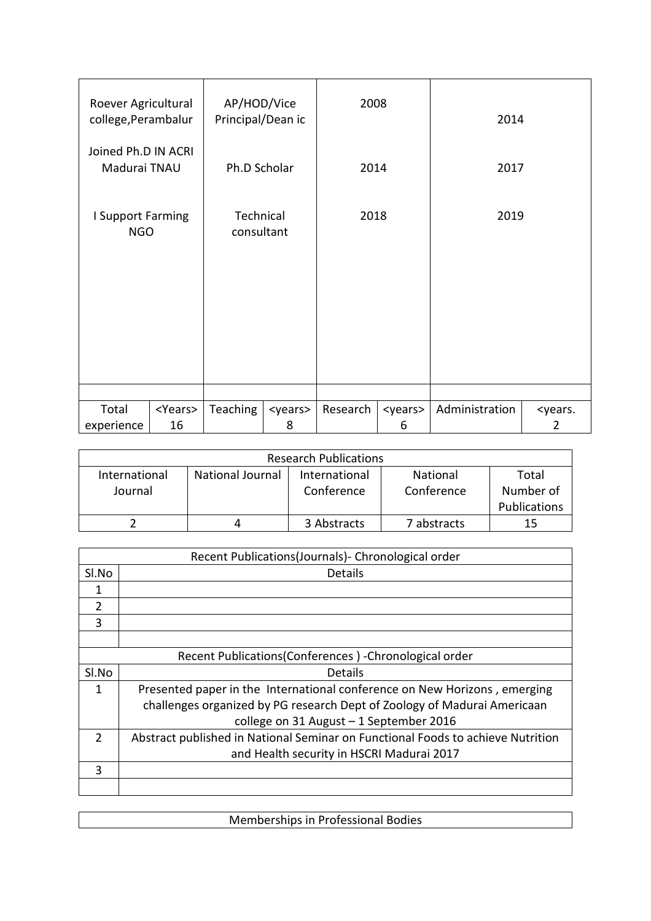| Roever Agricultural<br>college, Perambalur |                        | AP/HOD/Vice<br>Principal/Dean ic |                       | 2008     |                       | 2014           |                          |
|--------------------------------------------|------------------------|----------------------------------|-----------------------|----------|-----------------------|----------------|--------------------------|
| Joined Ph.D IN ACRI<br>Madurai TNAU        |                        | Ph.D Scholar                     |                       | 2014     |                       | 2017           |                          |
| I Support Farming<br><b>NGO</b>            |                        | Technical<br>consultant          |                       | 2018     |                       | 2019           |                          |
|                                            |                        |                                  |                       |          |                       |                |                          |
|                                            |                        |                                  |                       |          |                       |                |                          |
|                                            |                        |                                  |                       |          |                       |                |                          |
| Total<br>experience                        | <years><br/>16</years> | Teaching                         | <years><br/>8</years> | Research | <years><br/>6</years> | Administration | <years.<br>2</years.<br> |

|               |                  | <b>Research Publications</b> |             |                     |
|---------------|------------------|------------------------------|-------------|---------------------|
| International | National Journal | International                | National    | Total               |
| Journal       |                  | Conference                   | Conference  | Number of           |
|               |                  |                              |             | <b>Publications</b> |
|               |                  | 3 Abstracts                  | 7 abstracts | 15                  |

|                | Recent Publications(Journals) - Chronological order                             |
|----------------|---------------------------------------------------------------------------------|
| Sl.No          | <b>Details</b>                                                                  |
| 1              |                                                                                 |
| $\mathfrak{D}$ |                                                                                 |
| 3              |                                                                                 |
|                |                                                                                 |
|                | Recent Publications (Conferences) - Chronological order                         |
| Sl.No          | <b>Details</b>                                                                  |
| 1              | Presented paper in the International conference on New Horizons, emerging       |
|                | challenges organized by PG research Dept of Zoology of Madurai Americaan        |
|                | college on 31 August - 1 September 2016                                         |
| $\mathcal{P}$  | Abstract published in National Seminar on Functional Foods to achieve Nutrition |
|                | and Health security in HSCRI Madurai 2017                                       |
| 3              |                                                                                 |
|                |                                                                                 |

| Memberships in Professional Bodies |  |
|------------------------------------|--|
|                                    |  |